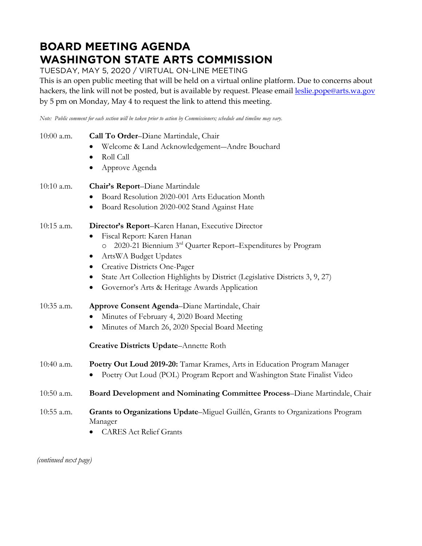## **BOARD MEETING AGENDA WASHINGTON STATE ARTS COMMISSION**

TUESDAY, MAY 5, 2020 / VIRTUAL ON-LINE MEETING

This is an open public meeting that will be held on a virtual online platform. Due to concerns about hackers, the link will not be posted, but is available by request. Please email [leslie.pope@arts.wa.gov](mailto:leslie.pope@arts.wa.gov) by 5 pm on Monday, May 4 to request the link to attend this meeting.

*Note: Public comment for each section will be taken prior to action by Commissioners; schedule and timeline may vary.*

| Welcome & Land Acknowledgement-Andre Bouchard<br>Roll Call<br>$\bullet$<br>Approve Agenda<br>$\bullet$<br>Chair's Report-Diane Martindale<br>Board Resolution 2020-001 Arts Education Month<br>Board Resolution 2020-002 Stand Against Hate<br>Director's Report-Karen Hanan, Executive Director<br>Fiscal Report: Karen Hanan<br>2020-21 Biennium 3rd Quarter Report-Expenditures by Program<br>$\circ$<br>ArtsWA Budget Updates<br>Creative Districts One-Pager<br>٠<br>State Art Collection Highlights by District (Legislative Districts 3, 9, 27)<br>Governor's Arts & Heritage Awards Application<br>Approve Consent Agenda-Diane Martindale, Chair<br>Minutes of February 4, 2020 Board Meeting<br>Minutes of March 26, 2020 Special Board Meeting<br><b>Creative Districts Update-Annette Roth</b><br>Poetry Out Loud 2019-20: Tamar Krames, Arts in Education Program Manager<br>Poetry Out Loud (POL) Program Report and Washington State Finalist Video<br>Board Development and Nominating Committee Process-Diane Martindale, Chair | 10:00 a.m. | Call To Order-Diane Martindale, Chair                                          |
|--------------------------------------------------------------------------------------------------------------------------------------------------------------------------------------------------------------------------------------------------------------------------------------------------------------------------------------------------------------------------------------------------------------------------------------------------------------------------------------------------------------------------------------------------------------------------------------------------------------------------------------------------------------------------------------------------------------------------------------------------------------------------------------------------------------------------------------------------------------------------------------------------------------------------------------------------------------------------------------------------------------------------------------------------|------------|--------------------------------------------------------------------------------|
|                                                                                                                                                                                                                                                                                                                                                                                                                                                                                                                                                                                                                                                                                                                                                                                                                                                                                                                                                                                                                                                  |            |                                                                                |
|                                                                                                                                                                                                                                                                                                                                                                                                                                                                                                                                                                                                                                                                                                                                                                                                                                                                                                                                                                                                                                                  |            |                                                                                |
|                                                                                                                                                                                                                                                                                                                                                                                                                                                                                                                                                                                                                                                                                                                                                                                                                                                                                                                                                                                                                                                  |            |                                                                                |
|                                                                                                                                                                                                                                                                                                                                                                                                                                                                                                                                                                                                                                                                                                                                                                                                                                                                                                                                                                                                                                                  | 10:10 a.m. |                                                                                |
|                                                                                                                                                                                                                                                                                                                                                                                                                                                                                                                                                                                                                                                                                                                                                                                                                                                                                                                                                                                                                                                  |            |                                                                                |
|                                                                                                                                                                                                                                                                                                                                                                                                                                                                                                                                                                                                                                                                                                                                                                                                                                                                                                                                                                                                                                                  |            |                                                                                |
|                                                                                                                                                                                                                                                                                                                                                                                                                                                                                                                                                                                                                                                                                                                                                                                                                                                                                                                                                                                                                                                  | 10:15 a.m. |                                                                                |
|                                                                                                                                                                                                                                                                                                                                                                                                                                                                                                                                                                                                                                                                                                                                                                                                                                                                                                                                                                                                                                                  |            |                                                                                |
|                                                                                                                                                                                                                                                                                                                                                                                                                                                                                                                                                                                                                                                                                                                                                                                                                                                                                                                                                                                                                                                  |            |                                                                                |
|                                                                                                                                                                                                                                                                                                                                                                                                                                                                                                                                                                                                                                                                                                                                                                                                                                                                                                                                                                                                                                                  |            |                                                                                |
|                                                                                                                                                                                                                                                                                                                                                                                                                                                                                                                                                                                                                                                                                                                                                                                                                                                                                                                                                                                                                                                  |            |                                                                                |
|                                                                                                                                                                                                                                                                                                                                                                                                                                                                                                                                                                                                                                                                                                                                                                                                                                                                                                                                                                                                                                                  |            |                                                                                |
|                                                                                                                                                                                                                                                                                                                                                                                                                                                                                                                                                                                                                                                                                                                                                                                                                                                                                                                                                                                                                                                  |            |                                                                                |
|                                                                                                                                                                                                                                                                                                                                                                                                                                                                                                                                                                                                                                                                                                                                                                                                                                                                                                                                                                                                                                                  | 10:35 a.m. |                                                                                |
|                                                                                                                                                                                                                                                                                                                                                                                                                                                                                                                                                                                                                                                                                                                                                                                                                                                                                                                                                                                                                                                  |            |                                                                                |
|                                                                                                                                                                                                                                                                                                                                                                                                                                                                                                                                                                                                                                                                                                                                                                                                                                                                                                                                                                                                                                                  |            |                                                                                |
|                                                                                                                                                                                                                                                                                                                                                                                                                                                                                                                                                                                                                                                                                                                                                                                                                                                                                                                                                                                                                                                  |            |                                                                                |
|                                                                                                                                                                                                                                                                                                                                                                                                                                                                                                                                                                                                                                                                                                                                                                                                                                                                                                                                                                                                                                                  | 10:40 a.m. |                                                                                |
|                                                                                                                                                                                                                                                                                                                                                                                                                                                                                                                                                                                                                                                                                                                                                                                                                                                                                                                                                                                                                                                  |            |                                                                                |
|                                                                                                                                                                                                                                                                                                                                                                                                                                                                                                                                                                                                                                                                                                                                                                                                                                                                                                                                                                                                                                                  | 10:50 a.m. |                                                                                |
| Manager                                                                                                                                                                                                                                                                                                                                                                                                                                                                                                                                                                                                                                                                                                                                                                                                                                                                                                                                                                                                                                          | 10:55 a.m. | Grants to Organizations Update-Miguel Guillén, Grants to Organizations Program |
| <b>CARES Act Relief Grants</b>                                                                                                                                                                                                                                                                                                                                                                                                                                                                                                                                                                                                                                                                                                                                                                                                                                                                                                                                                                                                                   |            |                                                                                |

*(continued next page)*